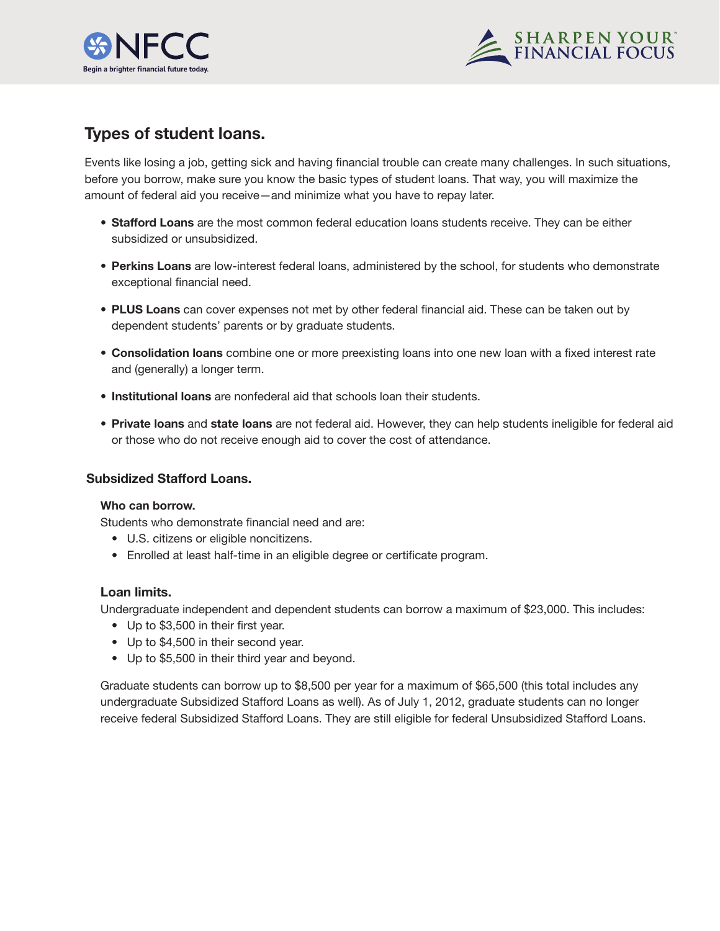



# **Types of student loans.**

Events like losing a job, getting sick and having financial trouble can create many challenges. In such situations, before you borrow, make sure you know the basic types of student loans. That way, you will maximize the amount of federal aid you receive—and minimize what you have to repay later.

- **Stafford Loans** are the most common federal education loans students receive. They can be either subsidized or unsubsidized.
- **Perkins Loans** are low-interest federal loans, administered by the school, for students who demonstrate exceptional financial need.
- **PLUS Loans** can cover expenses not met by other federal financial aid. These can be taken out by dependent students' parents or by graduate students.
- **Consolidation loans** combine one or more preexisting loans into one new loan with a fixed interest rate and (generally) a longer term.
- **Institutional loans** are nonfederal aid that schools loan their students.
- **Private loans** and **state loans** are not federal aid. However, they can help students ineligible for federal aid or those who do not receive enough aid to cover the cost of attendance.

# **Subsidized Stafford Loans.**

#### **Who can borrow.**

Students who demonstrate financial need and are:

- U.S. citizens or eligible noncitizens.
- Enrolled at least half-time in an eligible degree or certificate program.

# **Loan limits.**

Undergraduate independent and dependent students can borrow a maximum of \$23,000. This includes:

- Up to \$3,500 in their first year.
- Up to \$4,500 in their second year.
- Up to \$5,500 in their third year and beyond.

Graduate students can borrow up to \$8,500 per year for a maximum of \$65,500 (this total includes any undergraduate Subsidized Stafford Loans as well). As of July 1, 2012, graduate students can no longer receive federal Subsidized Stafford Loans. They are still eligible for federal Unsubsidized Stafford Loans.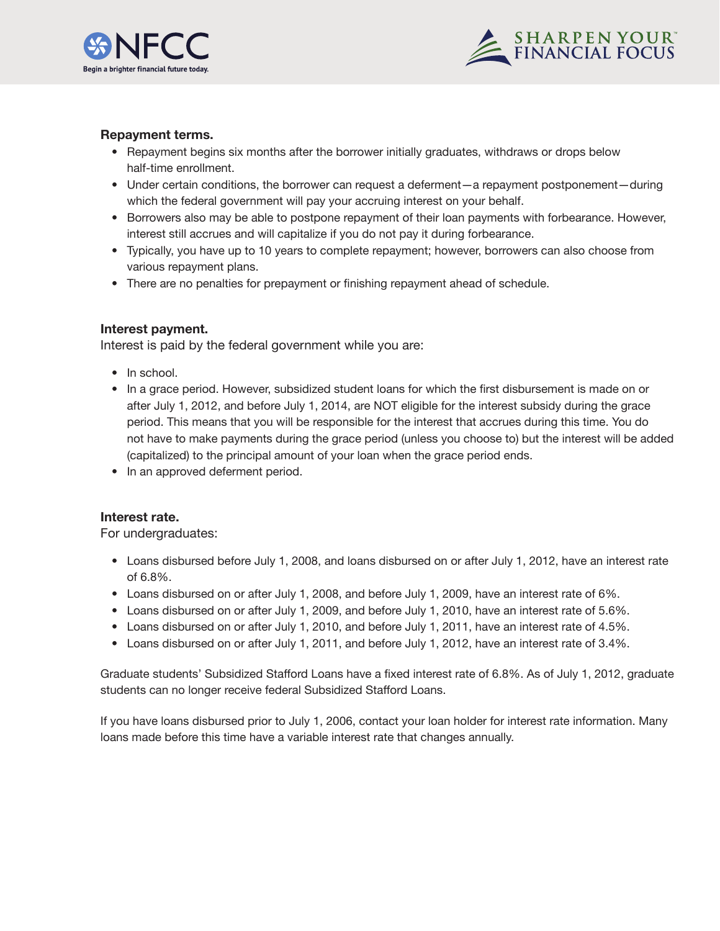



# **Repayment terms.**

- Repayment begins six months after the borrower initially graduates, withdraws or drops below half-time enrollment.
- Under certain conditions, the borrower can request a deferment—a repayment postponement—during which the federal government will pay your accruing interest on your behalf.
- Borrowers also may be able to postpone repayment of their loan payments with forbearance. However, interest still accrues and will capitalize if you do not pay it during forbearance.
- Typically, you have up to 10 years to complete repayment; however, borrowers can also choose from various repayment plans.
- There are no penalties for prepayment or finishing repayment ahead of schedule.

# **Interest payment.**

Interest is paid by the federal government while you are:

- In school.
- In a grace period. However, subsidized student loans for which the first disbursement is made on or after July 1, 2012, and before July 1, 2014, are NOT eligible for the interest subsidy during the grace period. This means that you will be responsible for the interest that accrues during this time. You do not have to make payments during the grace period (unless you choose to) but the interest will be added (capitalized) to the principal amount of your loan when the grace period ends.
- In an approved deferment period.

# **Interest rate.**

For undergraduates:

- Loans disbursed before July 1, 2008, and loans disbursed on or after July 1, 2012, have an interest rate of 6.8%.
- Loans disbursed on or after July 1, 2008, and before July 1, 2009, have an interest rate of 6%.
- Loans disbursed on or after July 1, 2009, and before July 1, 2010, have an interest rate of 5.6%.
- Loans disbursed on or after July 1, 2010, and before July 1, 2011, have an interest rate of 4.5%.
- Loans disbursed on or after July 1, 2011, and before July 1, 2012, have an interest rate of 3.4%.

Graduate students' Subsidized Stafford Loans have a fixed interest rate of 6.8%. As of July 1, 2012, graduate students can no longer receive federal Subsidized Stafford Loans.

If you have loans disbursed prior to July 1, 2006, contact your loan holder for interest rate information. Many loans made before this time have a variable interest rate that changes annually.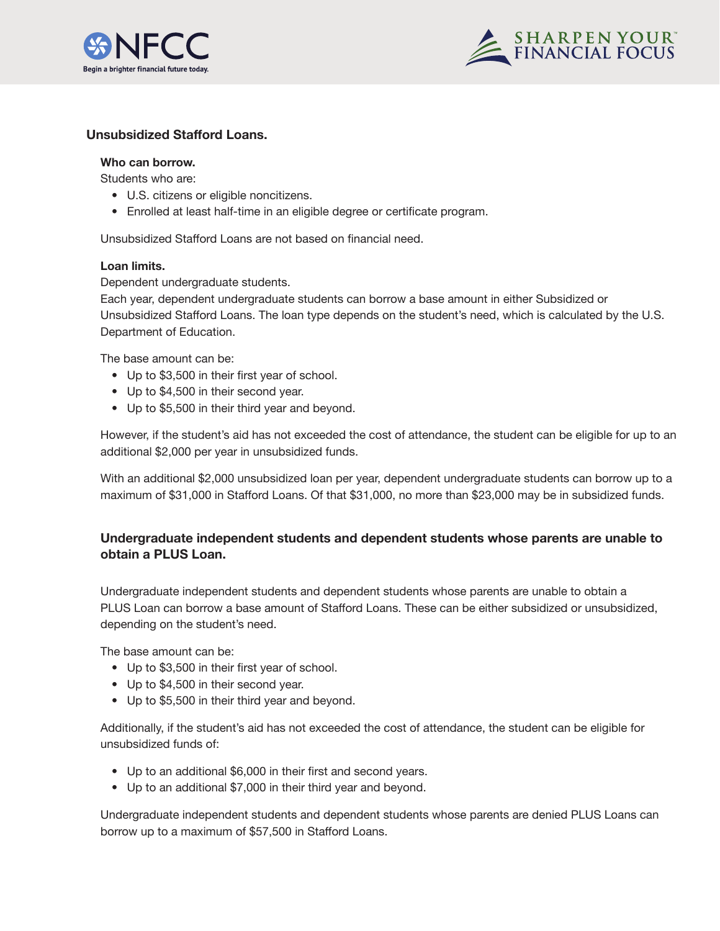



# **Unsubsidized Stafford Loans.**

## **Who can borrow.**

Students who are:

- U.S. citizens or eligible noncitizens.
- Enrolled at least half-time in an eligible degree or certificate program.

Unsubsidized Stafford Loans are not based on financial need.

#### **Loan limits.**

Dependent undergraduate students.

Each year, dependent undergraduate students can borrow a base amount in either Subsidized or Unsubsidized Stafford Loans. The loan type depends on the student's need, which is calculated by the U.S. Department of Education.

The base amount can be:

- Up to \$3,500 in their first year of school.
- Up to \$4,500 in their second year.
- Up to \$5,500 in their third year and beyond.

However, if the student's aid has not exceeded the cost of attendance, the student can be eligible for up to an additional \$2,000 per year in unsubsidized funds.

With an additional \$2,000 unsubsidized loan per year, dependent undergraduate students can borrow up to a maximum of \$31,000 in Stafford Loans. Of that \$31,000, no more than \$23,000 may be in subsidized funds.

# **Undergraduate independent students and dependent students whose parents are unable to obtain a PLUS Loan.**

Undergraduate independent students and dependent students whose parents are unable to obtain a PLUS Loan can borrow a base amount of Stafford Loans. These can be either subsidized or unsubsidized, depending on the student's need.

The base amount can be:

- Up to \$3,500 in their first year of school.
- Up to \$4,500 in their second year.
- Up to \$5,500 in their third year and beyond.

Additionally, if the student's aid has not exceeded the cost of attendance, the student can be eligible for unsubsidized funds of:

- Up to an additional \$6,000 in their first and second years.
- Up to an additional \$7,000 in their third year and beyond.

Undergraduate independent students and dependent students whose parents are denied PLUS Loans can borrow up to a maximum of \$57,500 in Stafford Loans.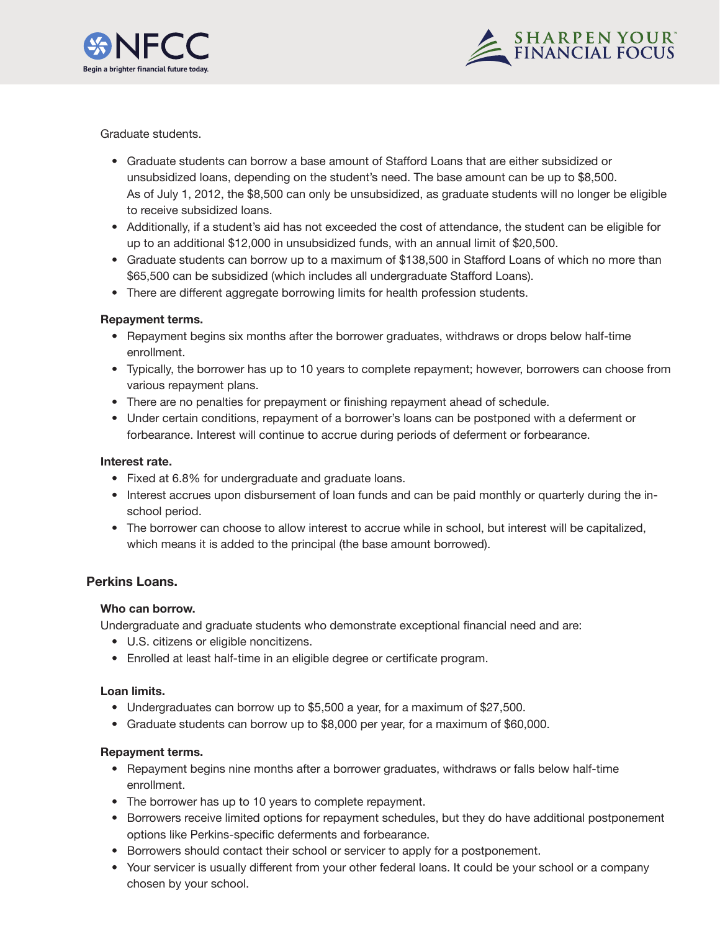



Graduate students.

- Graduate students can borrow a base amount of Stafford Loans that are either subsidized or unsubsidized loans, depending on the student's need. The base amount can be up to \$8,500. As of July 1, 2012, the \$8,500 can only be unsubsidized, as graduate students will no longer be eligible to receive subsidized loans.
- Additionally, if a student's aid has not exceeded the cost of attendance, the student can be eligible for up to an additional \$12,000 in unsubsidized funds, with an annual limit of \$20,500.
- Graduate students can borrow up to a maximum of \$138,500 in Stafford Loans of which no more than \$65,500 can be subsidized (which includes all undergraduate Stafford Loans).
- There are different aggregate borrowing limits for health profession students.

# **Repayment terms.**

- Repayment begins six months after the borrower graduates, withdraws or drops below half-time enrollment.
- Typically, the borrower has up to 10 years to complete repayment; however, borrowers can choose from various repayment plans.
- There are no penalties for prepayment or finishing repayment ahead of schedule.
- Under certain conditions, repayment of a borrower's loans can be postponed with a deferment or forbearance. Interest will continue to accrue during periods of deferment or forbearance.

#### **Interest rate.**

- Fixed at 6.8% for undergraduate and graduate loans.
- Interest accrues upon disbursement of loan funds and can be paid monthly or quarterly during the inschool period.
- The borrower can choose to allow interest to accrue while in school, but interest will be capitalized, which means it is added to the principal (the base amount borrowed).

# **Perkins Loans.**

#### **Who can borrow.**

Undergraduate and graduate students who demonstrate exceptional financial need and are:

- U.S. citizens or eligible noncitizens.
- Enrolled at least half-time in an eligible degree or certificate program.

#### **Loan limits.**

- Undergraduates can borrow up to \$5,500 a year, for a maximum of \$27,500.
- Graduate students can borrow up to \$8,000 per year, for a maximum of \$60,000.

#### **Repayment terms.**

- Repayment begins nine months after a borrower graduates, withdraws or falls below half-time enrollment.
- The borrower has up to 10 years to complete repayment.
- Borrowers receive limited options for repayment schedules, but they do have additional postponement options like Perkins-specific deferments and forbearance.
- Borrowers should contact their school or servicer to apply for a postponement.
- Your servicer is usually different from your other federal loans. It could be your school or a company chosen by your school.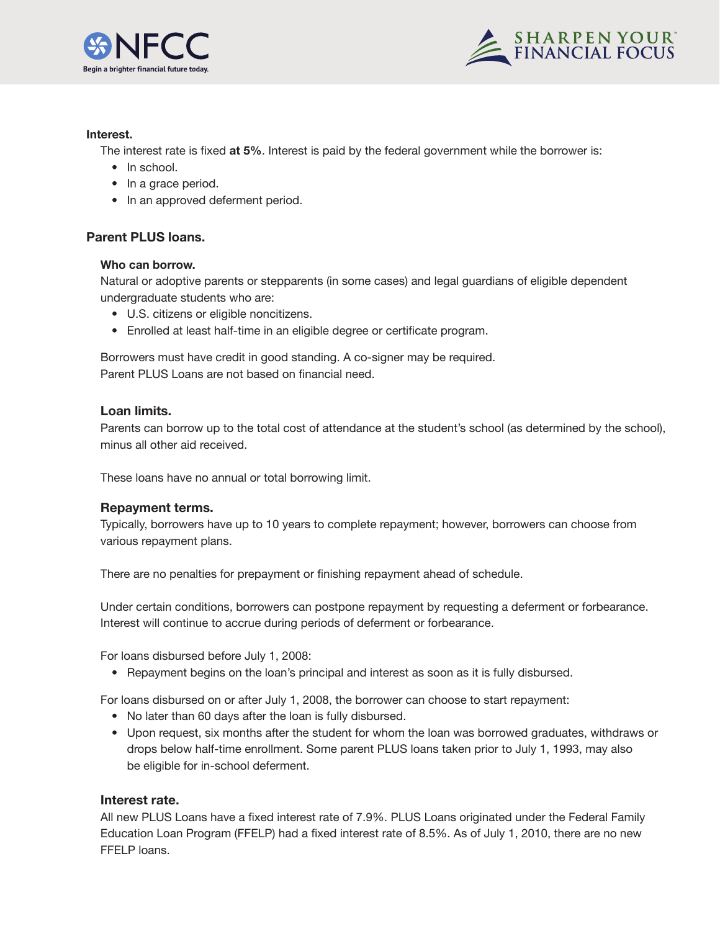



#### **Interest.**

The interest rate is fixed **at 5%**. Interest is paid by the federal government while the borrower is:

- In school.
- In a grace period.
- In an approved deferment period.

# **Parent PLUS loans.**

#### **Who can borrow.**

Natural or adoptive parents or stepparents (in some cases) and legal guardians of eligible dependent undergraduate students who are:

- U.S. citizens or eligible noncitizens.
- Enrolled at least half-time in an eligible degree or certificate program.

Borrowers must have credit in good standing. A co-signer may be required. Parent PLUS Loans are not based on financial need.

#### **Loan limits.**

Parents can borrow up to the total cost of attendance at the student's school (as determined by the school), minus all other aid received.

These loans have no annual or total borrowing limit.

# **Repayment terms.**

Typically, borrowers have up to 10 years to complete repayment; however, borrowers can choose from various repayment plans.

There are no penalties for prepayment or finishing repayment ahead of schedule.

Under certain conditions, borrowers can postpone repayment by requesting a deferment or forbearance. Interest will continue to accrue during periods of deferment or forbearance.

For loans disbursed before July 1, 2008:

• Repayment begins on the loan's principal and interest as soon as it is fully disbursed.

For loans disbursed on or after July 1, 2008, the borrower can choose to start repayment:

- No later than 60 days after the loan is fully disbursed.
- Upon request, six months after the student for whom the loan was borrowed graduates, withdraws or drops below half-time enrollment. Some parent PLUS loans taken prior to July 1, 1993, may also be eligible for in-school deferment.

#### **Interest rate.**

All new PLUS Loans have a fixed interest rate of 7.9%. PLUS Loans originated under the Federal Family Education Loan Program (FFELP) had a fixed interest rate of 8.5%. As of July 1, 2010, there are no new FFELP loans.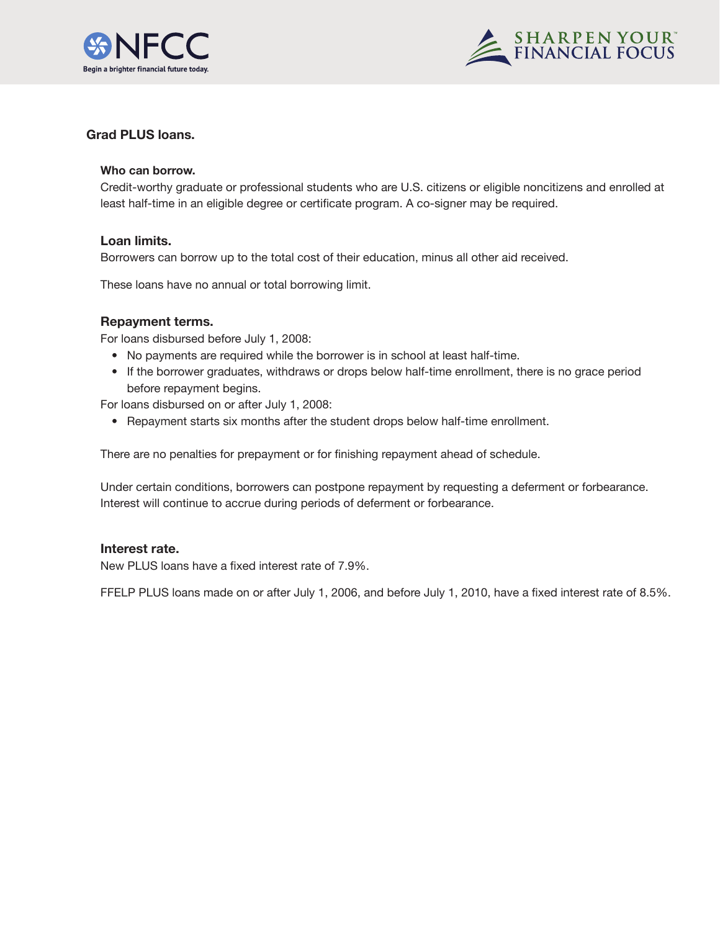



# **Grad PLUS loans.**

#### **Who can borrow.**

Credit-worthy graduate or professional students who are U.S. citizens or eligible noncitizens and enrolled at least half-time in an eligible degree or certificate program. A co-signer may be required.

#### **Loan limits.**

Borrowers can borrow up to the total cost of their education, minus all other aid received.

These loans have no annual or total borrowing limit.

#### **Repayment terms.**

For loans disbursed before July 1, 2008:

- No payments are required while the borrower is in school at least half-time.
- If the borrower graduates, withdraws or drops below half-time enrollment, there is no grace period before repayment begins.

For loans disbursed on or after July 1, 2008:

• Repayment starts six months after the student drops below half-time enrollment.

There are no penalties for prepayment or for finishing repayment ahead of schedule.

Under certain conditions, borrowers can postpone repayment by requesting a deferment or forbearance. Interest will continue to accrue during periods of deferment or forbearance.

# **Interest rate.**

New PLUS loans have a fixed interest rate of 7.9%.

FFELP PLUS loans made on or after July 1, 2006, and before July 1, 2010, have a fixed interest rate of 8.5%.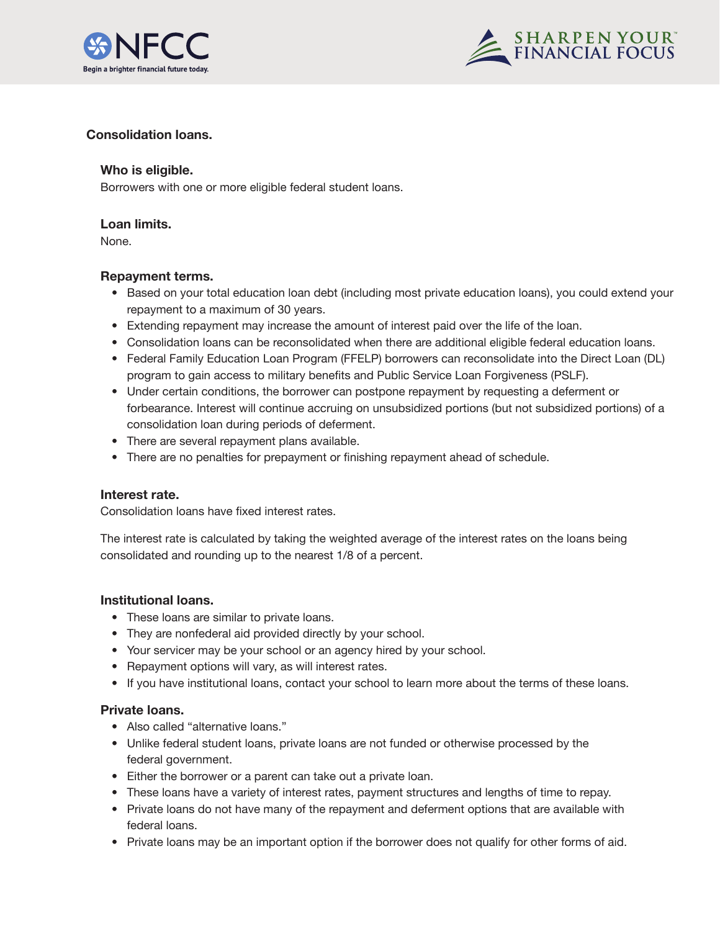



# **Consolidation loans.**

# **Who is eligible.**

Borrowers with one or more eligible federal student loans.

#### **Loan limits.**

None.

# **Repayment terms.**

- Based on your total education loan debt (including most private education loans), you could extend your repayment to a maximum of 30 years.
- Extending repayment may increase the amount of interest paid over the life of the loan.
- Consolidation loans can be reconsolidated when there are additional eligible federal education loans.
- Federal Family Education Loan Program (FFELP) borrowers can reconsolidate into the Direct Loan (DL) program to gain access to military benefits and Public Service Loan Forgiveness (PSLF).
- Under certain conditions, the borrower can postpone repayment by requesting a deferment or forbearance. Interest will continue accruing on unsubsidized portions (but not subsidized portions) of a consolidation loan during periods of deferment.
- There are several repayment plans available.
- There are no penalties for prepayment or finishing repayment ahead of schedule.

# **Interest rate.**

Consolidation loans have fixed interest rates.

The interest rate is calculated by taking the weighted average of the interest rates on the loans being consolidated and rounding up to the nearest 1/8 of a percent.

# **Institutional loans.**

- These loans are similar to private loans.
- They are nonfederal aid provided directly by your school.
- Your servicer may be your school or an agency hired by your school.
- Repayment options will vary, as will interest rates.
- If you have institutional loans, contact your school to learn more about the terms of these loans.

# **Private loans.**

- Also called "alternative loans."
- Unlike federal student loans, private loans are not funded or otherwise processed by the federal government.
- Either the borrower or a parent can take out a private loan.
- These loans have a variety of interest rates, payment structures and lengths of time to repay.
- Private loans do not have many of the repayment and deferment options that are available with federal loans.
- Private loans may be an important option if the borrower does not qualify for other forms of aid.